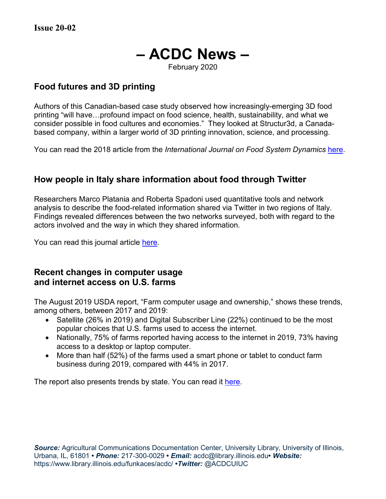# **– ACDC News –**

February 2020

## **Food futures and 3D printing**

Authors of this Canadian-based case study observed how increasingly-emerging 3D food printing "will have…profound impact on food science, health, sustainability, and what we consider possible in food cultures and economies." They looked at Structur3d, a Canadabased company, within a larger world of 3D printing innovation, science, and processing.

You can read the 2018 article from the *International Journal on Food System Dynamics* [here.](http://centmapress.ilb.uni-bonn.de/ojs/index.php/fsd/article/view/923)

# **How people in Italy share information about food through Twitter**

Researchers Marco Platania and Roberta Spadoni used quantitative tools and network analysis to describe the food-related information shared via Twitter in two regions of Italy. Findings revealed differences between the two networks surveyed, both with regard to the actors involved and the way in which they shared information.

You can read this journal article [here.](http://centmapress.ilb.uni-bonn.de/ojs/index.php/fsd/article/view/924)

## **Recent changes in computer usage and internet access on U.S. farms**

The August 2019 USDA report, "Farm computer usage and ownership," shows these trends, among others, between 2017 and 2019:

- Satellite (26% in 2019) and Digital Subscriber Line (22%) continued to be the most popular choices that U.S. farms used to access the internet.
- Nationally, 75% of farms reported having access to the internet in 2019, 73% having access to a desktop or laptop computer.
- More than half (52%) of the farms used a smart phone or tablet to conduct farm business during 2019, compared with 44% in 2017.

The report also presents trends by state. You can read it [here.](https://downloads.usda.library.cornell.edu/usda-esmis/files/h128nd689/8910k592p/qz20t442b/fmpc0819.pdf)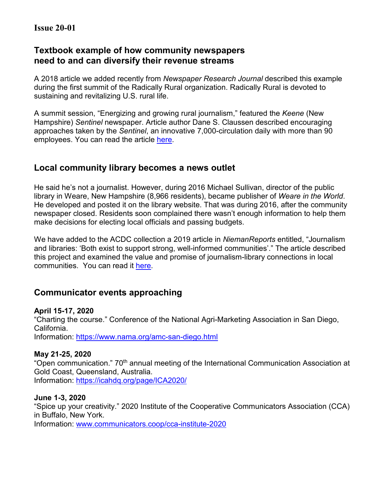# **Textbook example of how community newspapers need to and can diversify their revenue streams**

A 2018 article we added recently from *Newspaper Research Journal* described this example during the first summit of the Radically Rural organization. Radically Rural is devoted to sustaining and revitalizing U.S. rural life.

A summit session, "Energizing and growing rural journalism," featured the *Keene* (New Hampshire) *Sentinel* newspaper. Article author Dane S. Claussen described encouraging approaches taken by the *Sentinel*, an innovative 7,000-circulation daily with more than 90 employees. You can read the article [here.](https://journals.sagepub.com/doi/pdf/10.1177/0739532918810736/)

# **Local community library becomes a news outlet**

He said he's not a journalist. However, during 2016 Michael Sullivan, director of the public library in Weare, New Hampshire (8,966 residents), became publisher of *Weare in the World*. He developed and posted it on the library website. That was during 2016, after the community newspaper closed. Residents soon complained there wasn't enough information to help them make decisions for electing local officials and passing budgets.

We have added to the ACDC collection a 2019 article in *NiemanReports* entitled, "Journalism and libraries: 'Both exist to support strong, well-informed communities'." The article described this project and examined the value and promise of journalism-library connections in local communities. You can read it [here.](https://niemanreports.org/articles/journalism-and-libraries-both-exist-to-support-strong-well-informed-communities/)

# **Communicator events approaching**

## **April 15-17, 2020**

"Charting the course." Conference of the National Agri-Marketing Association in San Diego, California.

Information:<https://www.nama.org/amc-san-diego.html>

## **May 21-25, 2020**

"Open communication." 70<sup>th</sup> annual meeting of the International Communication Association at Gold Coast, Queensland, Australia. Information:<https://icahdq.org/page/ICA2020/>

## **June 1-3, 2020**

"Spice up your creativity." 2020 Institute of the Cooperative Communicators Association (CCA) in Buffalo, New York. Information: [www.communicators.coop/cca-institute-2020](http://www.communicators.coop/cca-institute-2020)